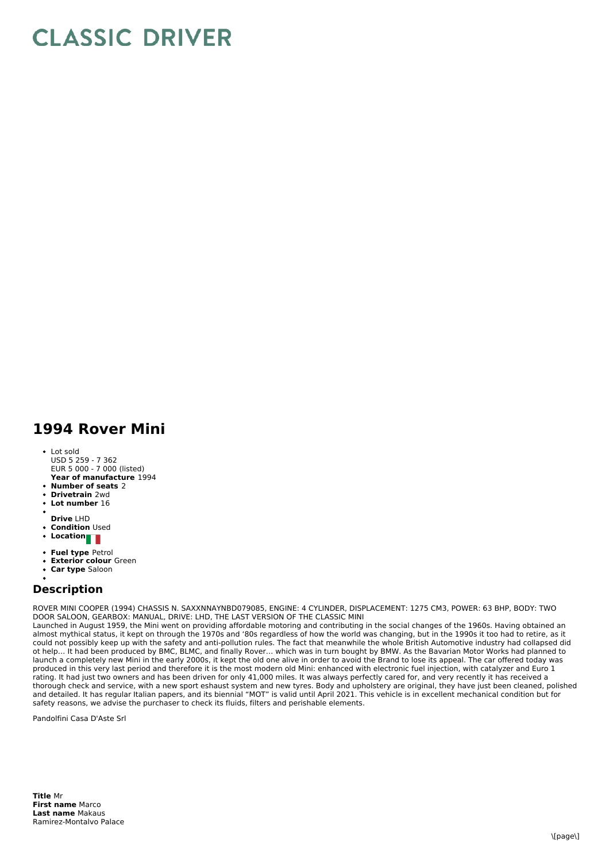## **CLASSIC DRIVER**

## **1994 Rover Mini**

- **Year of manufacture** 1994 Lot sold USD 5 259 - 7 362 EUR 5 000 - 7 000 (listed)
- **Number of seats** 2
- **Drivetrain** 2wd
- **Lot number** 16
- 
- **Drive** LHD
- **Condition Used Location**
- 
- **Fuel type** Petrol
- **Exterior colour** Green
- **Car type** Saloon

## **Description**

ROVER MINI COOPER (1994) CHASSIS N. SAXXNNAYNBD079085, ENGINE: 4 CYLINDER, DISPLACEMENT: 1275 CM3, POWER: 63 BHP, BODY: TWO DOOR SALOON, GEARBOX: MANUAL, DRIVE: LHD, THE LAST VERSION OF THE CLASSIC MINI

Launched in August 1959, the Mini went on providing affordable motoring and contributing in the social changes of the 1960s. Having obtained an almost mythical status, it kept on through the 1970s and '80s regardless of how the world was changing, but in the 1990s it too had to retire, as it could not possibly keep up with the safety and anti-pollution rules. The fact that meanwhile the whole British Automotive industry had collapsed did ot help… It had been produced by BMC, BLMC, and finally Rover… which was in turn bought by BMW. As the Bavarian Motor Works had planned to launch a completely new Mini in the early 2000s, it kept the old one alive in order to avoid the Brand to lose its appeal. The car offered today was produced in this very last period and therefore it is the most modern old Mini: enhanced with electronic fuel injection, with catalyzer and Euro 1 rating. It had just two owners and has been driven for only 41,000 miles. It was always perfectly cared for, and very recently it has received a thorough check and service, with a new sport eshaust system and new tyres. Body and upholstery are original, they have just been cleaned, polished and detailed. It has regular Italian papers, and its biennial "MOT" is valid until April 2021. This vehicle is in excellent mechanical condition but for safety reasons, we advise the purchaser to check its fluids, filters and perishable elements.

Pandolfini Casa D'Aste Srl